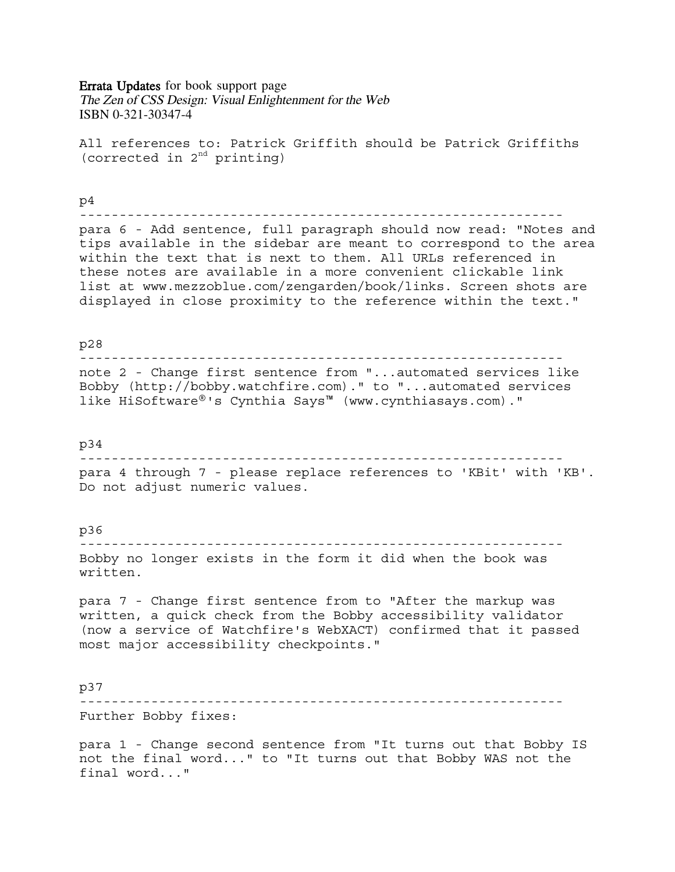## Errata Updates for book support page

The Zen of CSS Design: Visual Enlightenment for the Web ISBN 0-321-30347-4

All references to: Patrick Griffith should be Patrick Griffiths (corrected in  $2<sup>nd</sup>$  printing)

# p4

-------------------------------------------------------------

para 6 - Add sentence, full paragraph should now read: "Notes and tips available in the sidebar are meant to correspond to the area within the text that is next to them. All URLs referenced in these notes are available in a more convenient clickable link list at www.mezzoblue.com/zengarden/book/links. Screen shots are displayed in close proximity to the reference within the text."

## p28

-------------------------------------------------------------

note 2 - Change first sentence from "...automated services like Bobby (http://bobby.watchfire.com)." to "...automated services like HiSoftware®'s Cynthia Says™ (www.cynthiasays.com)."

## p34

------------------------------------------------------------ para 4 through 7 - please replace references to 'KBit' with 'KB'. Do not adjust numeric values.

# p36

------------------------------------------------------------- Bobby no longer exists in the form it did when the book was written.

para 7 - Change first sentence from to "After the markup was written, a quick check from the Bobby accessibility validator (now a service of Watchfire's WebXACT) confirmed that it passed most major accessibility checkpoints."

#### p37

------------------------------------------------------------- Further Bobby fixes:

para 1 - Change second sentence from "It turns out that Bobby IS not the final word..." to "It turns out that Bobby WAS not the final word..."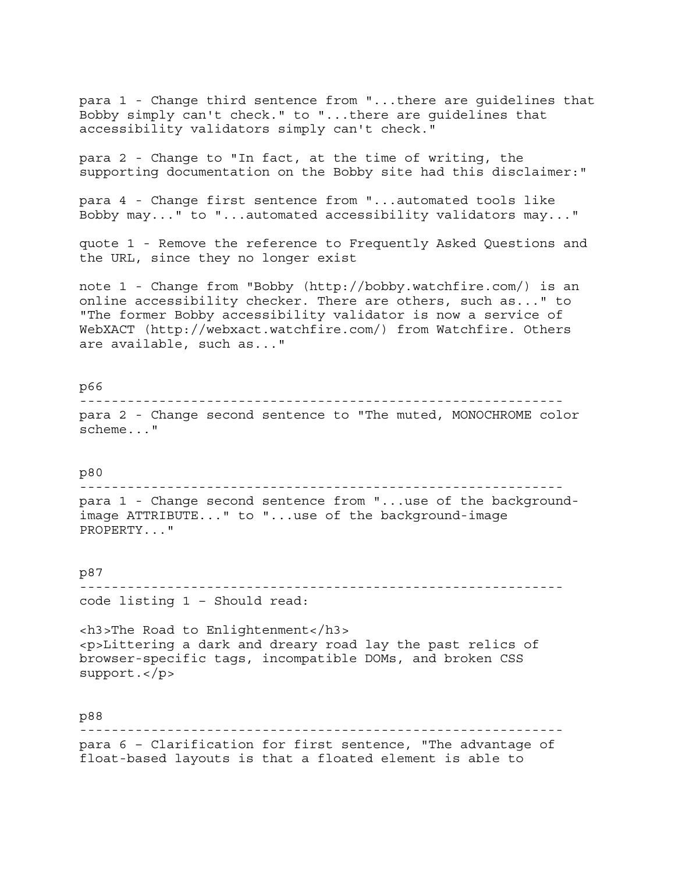para 1 - Change third sentence from "...there are guidelines that Bobby simply can't check." to "...there are guidelines that accessibility validators simply can't check." para 2 - Change to "In fact, at the time of writing, the supporting documentation on the Bobby site had this disclaimer:" para 4 - Change first sentence from "...automated tools like Bobby may..." to "...automated accessibility validators may..." quote 1 - Remove the reference to Frequently Asked Questions and the URL, since they no longer exist note 1 - Change from "Bobby (http://bobby.watchfire.com/) is an online accessibility checker. There are others, such as..." to "The former Bobby accessibility validator is now a service of WebXACT (http://webxact.watchfire.com/) from Watchfire. Others are available, such as..." p66 ------------------------------------------------------------ para 2 - Change second sentence to "The muted, MONOCHROME color scheme..." p80 ------------------------------------------------------------ para 1 - Change second sentence from "...use of the backgroundimage ATTRIBUTE..." to "...use of the background-image PROPERTY..." p87 ------------------------------------------------------------ code listing 1 – Should read: <h3>The Road to Enlightenment</h3> <p>Littering a dark and dreary road lay the past relics of browser-specific tags, incompatible DOMs, and broken CSS support.</p> p88 -------------------------------------------------------------

para 6 – Clarification for first sentence, "The advantage of float-based layouts is that a floated element is able to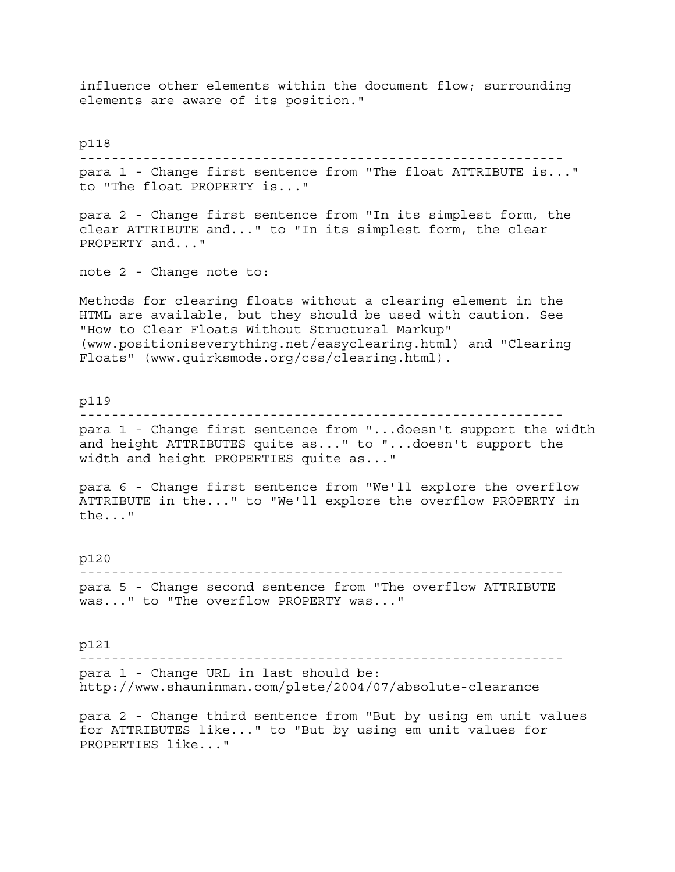influence other elements within the document flow; surrounding elements are aware of its position." p118 ------------------------------------------------------------ para 1 - Change first sentence from "The float ATTRIBUTE is..." to "The float PROPERTY is..." para 2 - Change first sentence from "In its simplest form, the clear ATTRIBUTE and..." to "In its simplest form, the clear PROPERTY and..." note 2 - Change note to: Methods for clearing floats without a clearing element in the HTML are available, but they should be used with caution. See "How to Clear Floats Without Structural Markup" (www.positioniseverything.net/easyclearing.html) and "Clearing Floats" (www.quirksmode.org/css/clearing.html). p119 ------------------------------------------------------------ para 1 - Change first sentence from "...doesn't support the width and height ATTRIBUTES quite as..." to "...doesn't support the width and height PROPERTIES quite as..." para 6 - Change first sentence from "We'll explore the overflow ATTRIBUTE in the..." to "We'll explore the overflow PROPERTY in the..." p120 ------------------------------------------------------------ para 5 - Change second sentence from "The overflow ATTRIBUTE was..." to "The overflow PROPERTY was..." p121 ------------------------------------------------------------ para 1 - Change URL in last should be: http://www.shauninman.com/plete/2004/07/absolute-clearance para 2 - Change third sentence from "But by using em unit values for ATTRIBUTES like..." to "But by using em unit values for

PROPERTIES like..."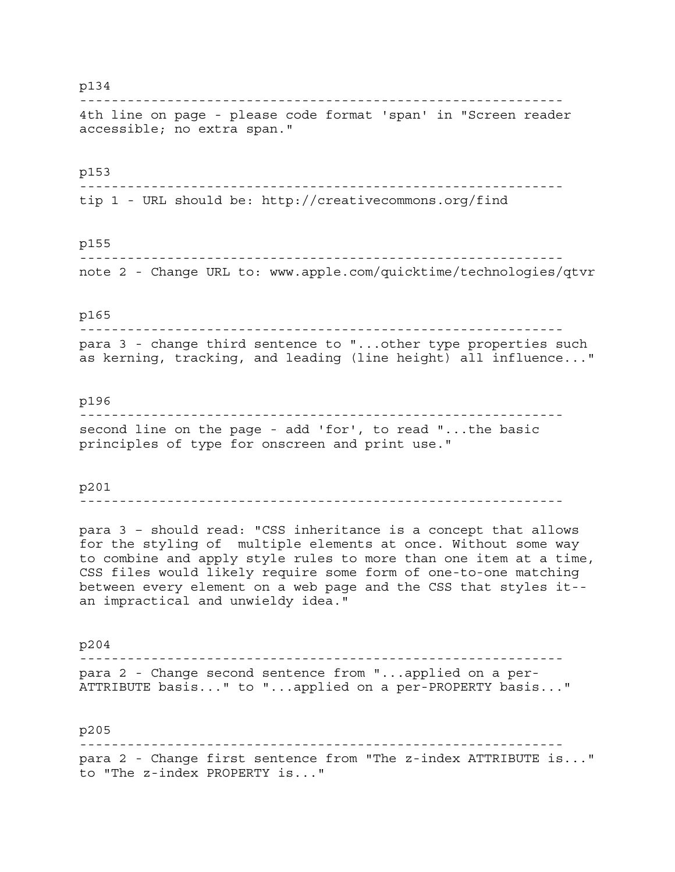#### p134

------------------------------------------------------------- 4th line on page - please code format 'span' in "Screen reader accessible; no extra span."

## p153

------------------------------------------------------------ tip 1 - URL should be: http://creativecommons.org/find

## p155

------------------------------------------------------------ note 2 - Change URL to: www.apple.com/quicktime/technologies/qtvr

## p165

------------------------------------------------------------ para 3 - change third sentence to "...other type properties such as kerning, tracking, and leading (line height) all influence..."

## p196

------------------------------------------------------------ second line on the page - add 'for', to read "...the basic principles of type for onscreen and print use."

#### p201

-------------------------------------------------------------

para 3 – should read: "CSS inheritance is a concept that allows for the styling of multiple elements at once. Without some way to combine and apply style rules to more than one item at a time, CSS files would likely require some form of one-to-one matching between every element on a web page and the CSS that styles it- an impractical and unwieldy idea."

p204 ------------------------------------------------------------ para 2 - Change second sentence from "...applied on a per-ATTRIBUTE basis..." to "...applied on a per-PROPERTY basis..."

p205 ------------------------------------------------------------ para 2 - Change first sentence from "The z-index ATTRIBUTE is..." to "The z-index PROPERTY is..."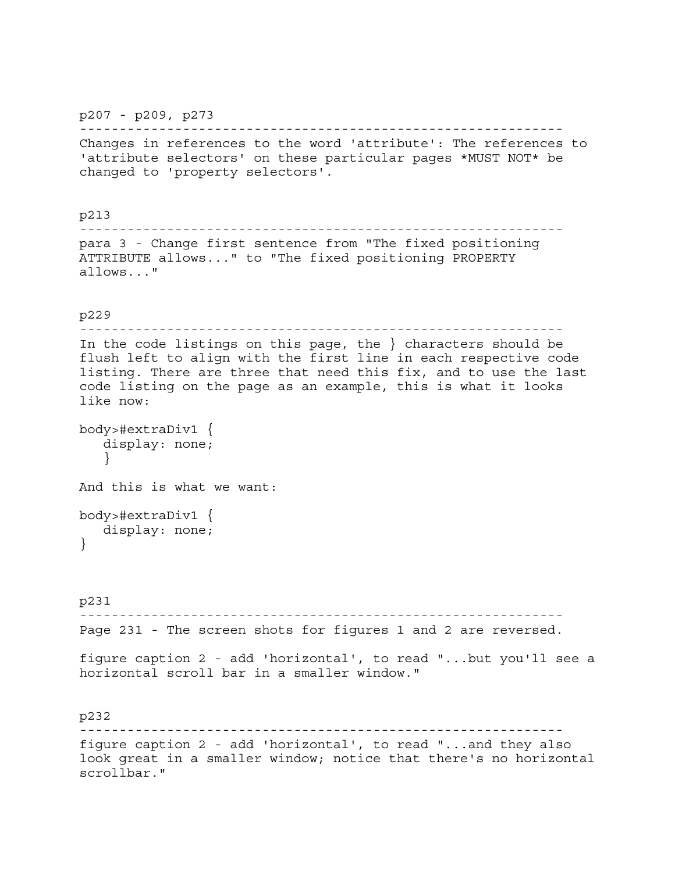p207 - p209, p273

-------------------------------------------------------------

Changes in references to the word 'attribute': The references to 'attribute selectors' on these particular pages \*MUST NOT\* be changed to 'property selectors'.

p213 ------------------------------------------------------------ para 3 - Change first sentence from "The fixed positioning ATTRIBUTE allows..." to "The fixed positioning PROPERTY allows..." p229 ------------------------------------------------------------- In the code listings on this page, the } characters should be flush left to align with the first line in each respective code listing. There are three that need this fix, and to use the last code listing on the page as an example, this is what it looks like now: body>#extraDiv1 { display: none; } And this is what we want: body>#extraDiv1 { display: none; } p231 ------------------------------------------------------------- Page 231 - The screen shots for figures 1 and 2 are reversed. figure caption 2 - add 'horizontal', to read "...but you'll see a horizontal scroll bar in a smaller window." p232 ------------------------------------------------------------ figure caption 2 - add 'horizontal', to read "...and they also look great in a smaller window; notice that there's no horizontal

scrollbar."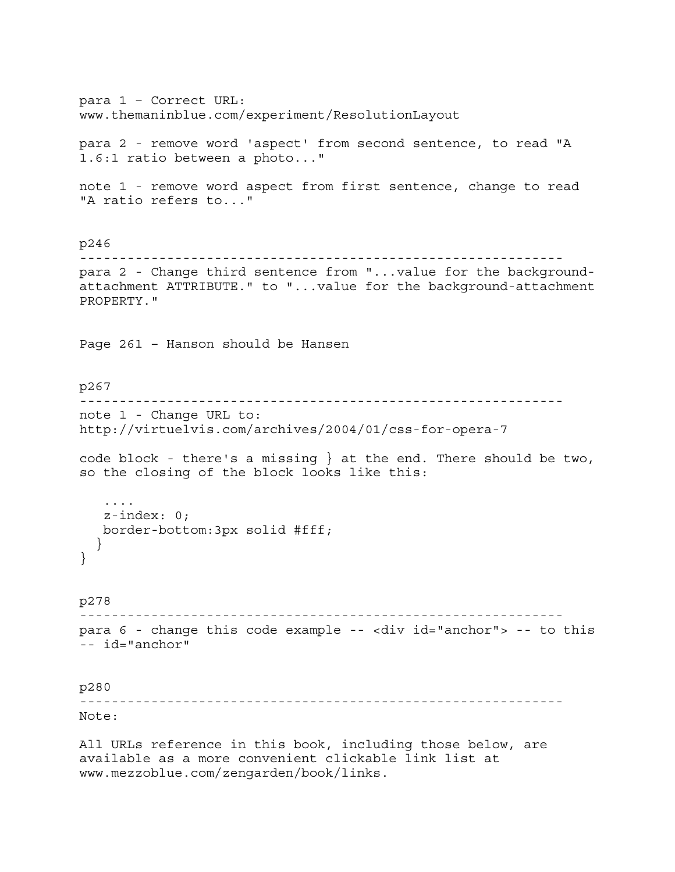para 1 – Correct URL: www.themaninblue.com/experiment/ResolutionLayout para 2 - remove word 'aspect' from second sentence, to read "A 1.6:1 ratio between a photo..." note 1 - remove word aspect from first sentence, change to read "A ratio refers to..." p246 ------------------------------------------------------------ para 2 - Change third sentence from "...value for the backgroundattachment ATTRIBUTE." to "...value for the background-attachment PROPERTY." Page 261 – Hanson should be Hansen p267 ------------------------------------------------------------ note 1 - Change URL to: http://virtuelvis.com/archives/2004/01/css-for-opera-7 code block - there's a missing } at the end. There should be two, so the closing of the block looks like this: .... z-index: 0; border-bottom:3px solid #fff; } } p278 ------------------------------------------------------------ para 6 - change this code example -- <div id="anchor"> -- to this -- id="anchor" p280 ------------------------------------------------------------- Note: All URLs reference in this book, including those below, are available as a more convenient clickable link list at

www.mezzoblue.com/zengarden/book/links.